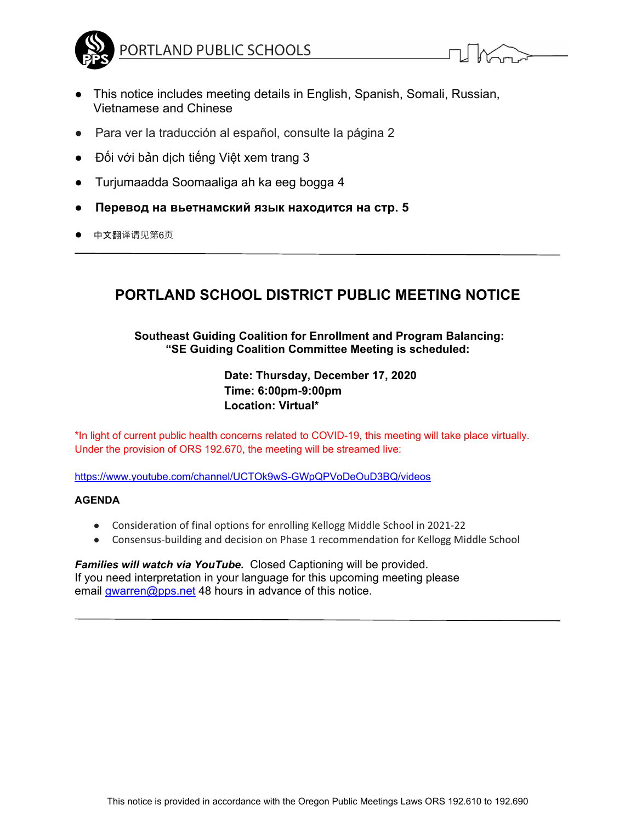

$$
\mathcal{L}[\mathcal{M}_{\text{max}}]
$$

- This notice includes meeting details in English, Spanish, Somali, Russian, Vietnamese and Chinese
- Para ver la traducción al español, consulte la página 2
- Đối với bản dịch tiếng Việt xem trang 3
- Turjumaadda Soomaaliga ah ka eeg bogga 4
- **Перевод на вьетнамский язык находится на стр. 5**
- 中文翻译请见第6页

## **PORTLAND SCHOOL DISTRICT PUBLIC MEETING NOTICE**

### **Southeast Guiding Coalition for Enrollment and Program Balancing: "SE Guiding Coalition Committee Meeting is scheduled:**

**Date: Thursday, December 17, 2020 Time: 6:00pm-9:00pm Location: Virtual\*** 

\*In light of current public health concerns related to COVID-19, this meeting will take place virtually. Under the provision of ORS 192.670, the meeting will be streamed live:

https://www.youtube.com/channel/UCTOk9wS-GWpQPVoDeOuD3BQ/videos

#### **AGENDA**

- Consideration of final options for enrolling Kellogg Middle School in 2021-22
- Consensus-building and decision on Phase 1 recommendation for Kellogg Middle School

#### *Families will watch via YouTube.* Closed Captioning will be provided. If you need interpretation in your language for this upcoming meeting please email *gwarren@pps.net* 48 hours in advance of this notice.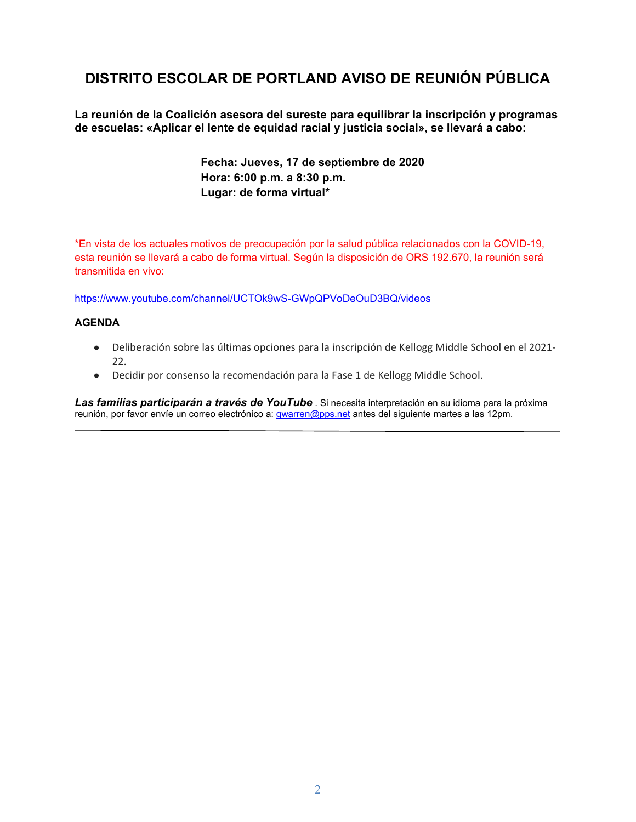# **DISTRITO ESCOLAR DE PORTLAND AVISO DE REUNIÓN PÚBLICA**

**La reunión de la Coalición asesora del sureste para equilibrar la inscripción y programas de escuelas: «Aplicar el lente de equidad racial y justicia social», se llevará a cabo:** 

> **Fecha: Jueves, 17 de septiembre de 2020 Hora: 6:00 p.m. a 8:30 p.m. Lugar: de forma virtual\***

\*En vista de los actuales motivos de preocupación por la salud pública relacionados con la COVID-19, esta reunión se llevará a cabo de forma virtual. Según la disposición de ORS 192.670, la reunión será transmitida en vivo:

https://www.youtube.com/channel/UCTOk9wS-GWpQPVoDeOuD3BQ/videos

#### **AGENDA**

- Deliberación sobre las últimas opciones para la inscripción de Kellogg Middle School en el 2021-22.
- Decidir por consenso la recomendación para la Fase 1 de Kellogg Middle School.

*Las familias participarán a través de YouTube* . Si necesita interpretación en su idioma para la próxima reunión, por favor envíe un correo electrónico a: gwarren@pps.net antes del siguiente martes a las 12pm.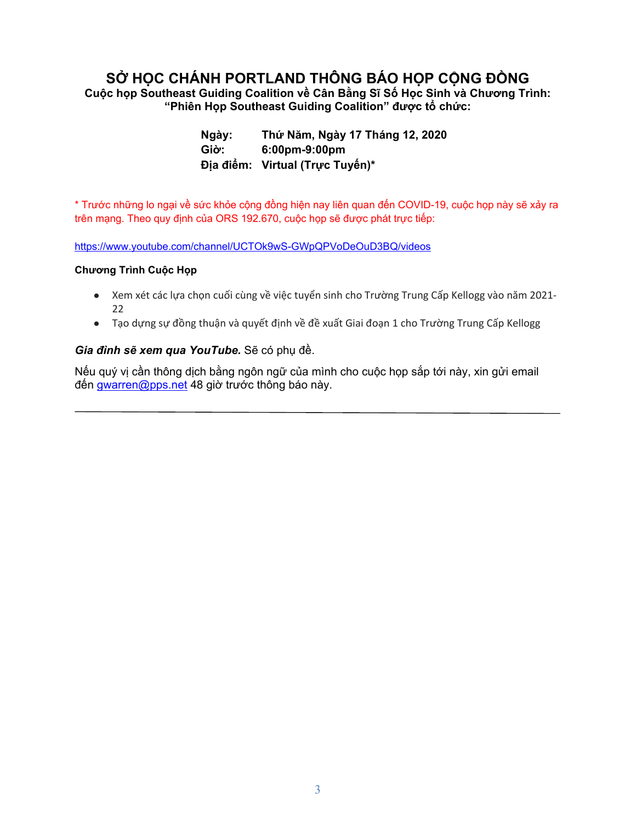# **SỞ HỌC CHÁNH PORTLAND THÔNG BÁO HỌP CỘNG ĐỒNG**

**Cuộc họp Southeast Guiding Coalition về Cân Bằng Sĩ Số Học Sinh và Chương Trình: "Phiên Họp Southeast Guiding Coalition" được tổ chức:** 

> **Ngày: Thứ Năm, Ngày 17 Tháng 12, 2020 Giờ: 6:00pm-9:00pm Địa điểm: Virtual (Trực Tuyến)\***

\* Trước những lo ngại về sức khỏe cộng đồng hiện nay liên quan đến COVID-19, cuộc họp này sẽ xảy ra trên mạng. Theo quy định của ORS 192.670, cuộc họp sẽ được phát trực tiếp:

https://www.youtube.com/channel/UCTOk9wS-GWpQPVoDeOuD3BQ/videos

### **Chương Trình Cuộc Họp**

- Xem xét các lựa chọn cuối cùng về việc tuyển sinh cho Trường Trung Cấp Kellogg vào năm 2021‐ 22
- Tạo dựng sự đồng thuận và quyết định về đề xuất Giai đoạn 1 cho Trường Trung Cấp Kellogg

### *Gia đình sẽ xem qua YouTube.* Sẽ có phụ đề.

Nếu quý vị cần thông dịch bằng ngôn ngữ của mình cho cuộc họp sắp tới này, xin gửi email đến gwarren@pps.net 48 giờ trước thông báo này.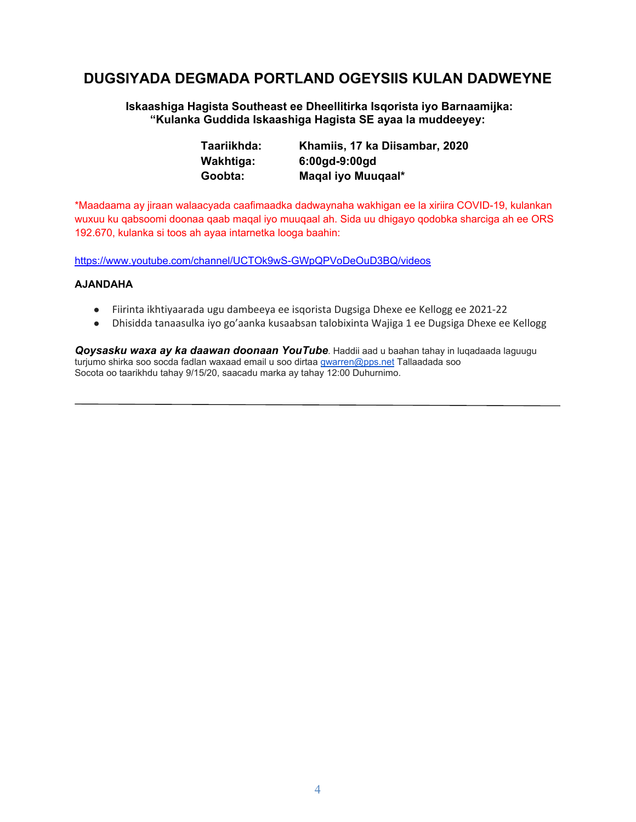## **DUGSIYADA DEGMADA PORTLAND OGEYSIIS KULAN DADWEYNE**

 **Iskaashiga Hagista Southeast ee Dheellitirka Isqorista iyo Barnaamijka: "Kulanka Guddida Iskaashiga Hagista SE ayaa la muddeeyey:** 

| Taariikhda: | Khamiis, 17 ka Diisambar, 2020 |
|-------------|--------------------------------|
| Wakhtiga:   | $6:00$ gd-9:00gd               |
| Goobta:     | Maqal iyo Muuqaal*             |

\*Maadaama ay jiraan walaacyada caafimaadka dadwaynaha wakhigan ee la xiriira COVID-19, kulankan wuxuu ku qabsoomi doonaa qaab maqal iyo muuqaal ah. Sida uu dhigayo qodobka sharciga ah ee ORS 192.670, kulanka si toos ah ayaa intarnetka looga baahin:

https://www.youtube.com/channel/UCTOk9wS-GWpQPVoDeOuD3BQ/videos

#### **AJANDAHA**

- Fiirinta ikhtiyaarada ugu dambeeya ee isqorista Dugsiga Dhexe ee Kellogg ee 2021‐22
- Dhisidda tanaasulka iyo go'aanka kusaabsan talobixinta Wajiga 1 ee Dugsiga Dhexe ee Kellogg

*Qoysasku waxa ay ka daawan doonaan YouTube*. Haddii aad u baahan tahay in luqadaada laguugu turjumo shirka soo socda fadlan waxaad email u soo dirtaa gwarren@pps.net Tallaadada soo Socota oo taarikhdu tahay 9/15/20, saacadu marka ay tahay 12:00 Duhurnimo.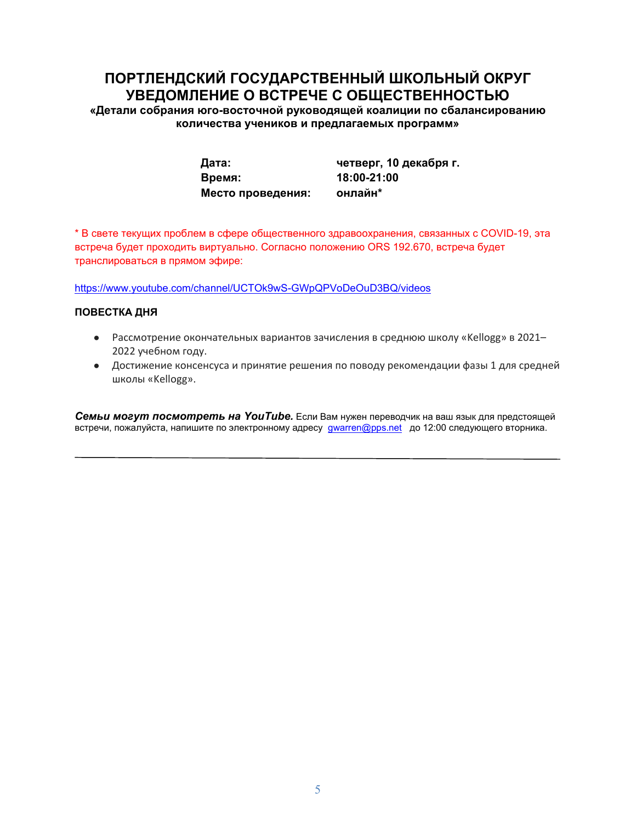# **ПОРТЛЕНДCКИЙ ГОСУДАРСТВЕННЫЙ ШКОЛЬНЫЙ ОКРУГ УВЕДОМЛЕНИЕ О ВСТРЕЧЕ С ОБЩЕСТВЕННОСТЬЮ**

**«Детали собрания юго-восточной руководящей коалиции по сбалансированию количества учеников и предлагаемых программ»** 

> **Время: 18:00-21:00 Место проведения: онлайн\***

**Дата: четверг, 10 декабря г.** 

\* В свете текущих проблем в сфере общественного здравоохранения, связанных с COVID-19, эта встреча будет проходить виртуально. Согласно положению ORS 192.670, встреча будет транслироваться в прямом эфире:

https://www.youtube.com/channel/UCTOk9wS-GWpQPVoDeOuD3BQ/videos

#### **ПОВЕСТКА ДНЯ**

- Рассмотрение окончательных вариантов зачисления в среднюю школу «Kellogg» в 2021-2022 учебном году.
- Достижение консенсуса и принятие решения по поводу рекомендации фазы 1 для средней школы «Kellogg».

*Семьи могут посмотреть на YouTube.* Если Вам нужен переводчик на ваш язык для предстоящей встречи, пожалуйста, напишите по электронному адресу **gwarren@pps.net** до 12:00 следующего вторника.